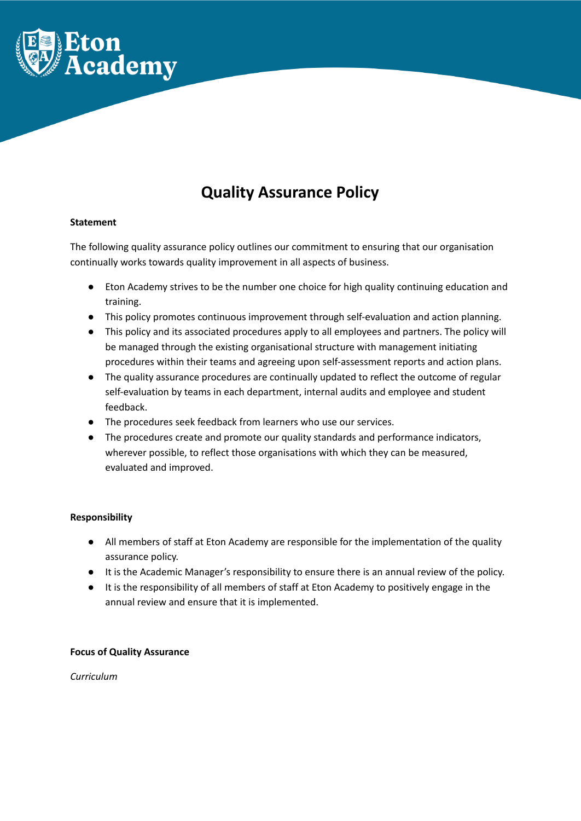

# **Quality Assurance Policy**

## **Statement**

The following quality assurance policy outlines our commitment to ensuring that our organisation continually works towards quality improvement in all aspects of business.

- Eton Academy strives to be the number one choice for high quality continuing education and training.
- This policy promotes continuous improvement through self-evaluation and action planning.
- This policy and its associated procedures apply to all employees and partners. The policy will be managed through the existing organisational structure with management initiating procedures within their teams and agreeing upon self-assessment reports and action plans.
- The quality assurance procedures are continually updated to reflect the outcome of regular self-evaluation by teams in each department, internal audits and employee and student feedback.
- The procedures seek feedback from learners who use our services.
- The procedures create and promote our quality standards and performance indicators, wherever possible, to reflect those organisations with which they can be measured, evaluated and improved.

## **Responsibility**

- All members of staff at Eton Academy are responsible for the implementation of the quality assurance policy.
- It is the Academic Manager's responsibility to ensure there is an annual review of the policy.
- It is the responsibility of all members of staff at Eton Academy to positively engage in the annual review and ensure that it is implemented.

## **Focus of Quality Assurance**

*Curriculum*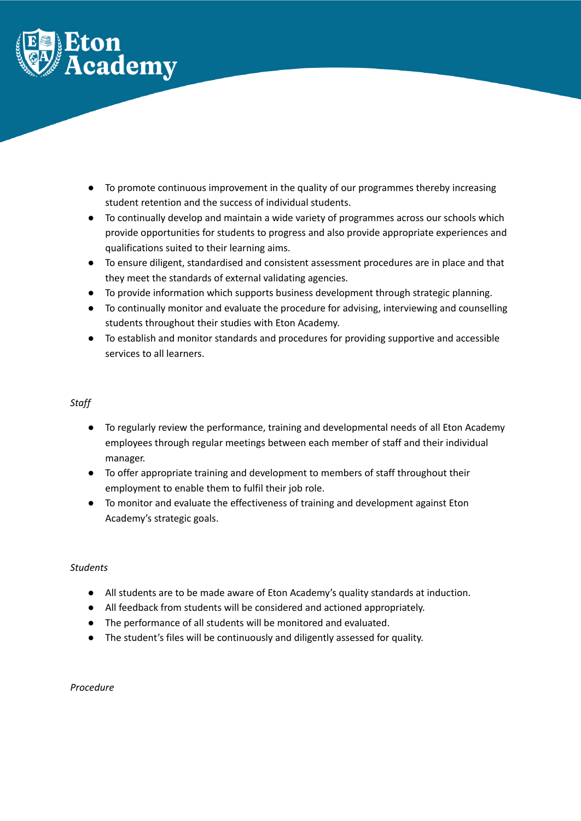

- To promote continuous improvement in the quality of our programmes thereby increasing student retention and the success of individual students.
- To continually develop and maintain a wide variety of programmes across our schools which provide opportunities for students to progress and also provide appropriate experiences and qualifications suited to their learning aims.
- To ensure diligent, standardised and consistent assessment procedures are in place and that they meet the standards of external validating agencies.
- To provide information which supports business development through strategic planning.
- To continually monitor and evaluate the procedure for advising, interviewing and counselling students throughout their studies with Eton Academy.
- To establish and monitor standards and procedures for providing supportive and accessible services to all learners.

## *Staff*

- To regularly review the performance, training and developmental needs of all Eton Academy employees through regular meetings between each member of staff and their individual manager.
- To offer appropriate training and development to members of staff throughout their employment to enable them to fulfil their job role.
- To monitor and evaluate the effectiveness of training and development against Eton Academy's strategic goals.

## *Students*

- All students are to be made aware of Eton Academy's quality standards at induction.
- All feedback from students will be considered and actioned appropriately.
- The performance of all students will be monitored and evaluated.
- The student's files will be continuously and diligently assessed for quality.

## *Procedure*